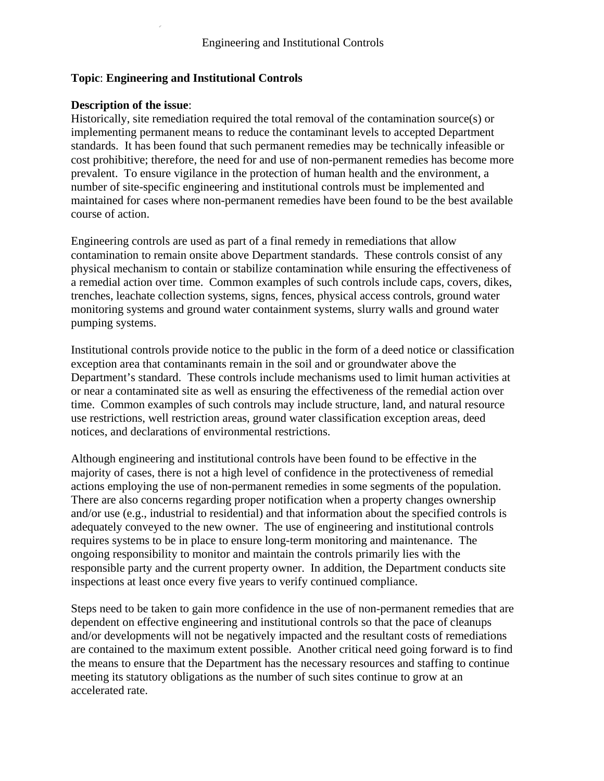# **Topic**: **Engineering and Institutional Controls**

# **Description of the issue**:

Historically, site remediation required the total removal of the contamination source(s) or implementing permanent means to reduce the contaminant levels to accepted Department standards. It has been found that such permanent remedies may be technically infeasible or cost prohibitive; therefore, the need for and use of non-permanent remedies has become more prevalent. To ensure vigilance in the protection of human health and the environment, a number of site-specific engineering and institutional controls must be implemented and maintained for cases where non-permanent remedies have been found to be the best available course of action.

Engineering controls are used as part of a final remedy in remediations that allow contamination to remain onsite above Department standards. These controls consist of any physical mechanism to contain or stabilize contamination while ensuring the effectiveness of a remedial action over time. Common examples of such controls include caps, covers, dikes, trenches, leachate collection systems, signs, fences, physical access controls, ground water monitoring systems and ground water containment systems, slurry walls and ground water pumping systems.

Institutional controls provide notice to the public in the form of a deed notice or classification exception area that contaminants remain in the soil and or groundwater above the Department's standard. These controls include mechanisms used to limit human activities at or near a contaminated site as well as ensuring the effectiveness of the remedial action over time. Common examples of such controls may include structure, land, and natural resource use restrictions, well restriction areas, ground water classification exception areas, deed notices, and declarations of environmental restrictions.

Although engineering and institutional controls have been found to be effective in the majority of cases, there is not a high level of confidence in the protectiveness of remedial actions employing the use of non-permanent remedies in some segments of the population. There are also concerns regarding proper notification when a property changes ownership and/or use (e.g., industrial to residential) and that information about the specified controls is adequately conveyed to the new owner. The use of engineering and institutional controls requires systems to be in place to ensure long-term monitoring and maintenance. The ongoing responsibility to monitor and maintain the controls primarily lies with the responsible party and the current property owner. In addition, the Department conducts site inspections at least once every five years to verify continued compliance.

Steps need to be taken to gain more confidence in the use of non-permanent remedies that are dependent on effective engineering and institutional controls so that the pace of cleanups and/or developments will not be negatively impacted and the resultant costs of remediations are contained to the maximum extent possible. Another critical need going forward is to find the means to ensure that the Department has the necessary resources and staffing to continue meeting its statutory obligations as the number of such sites continue to grow at an accelerated rate.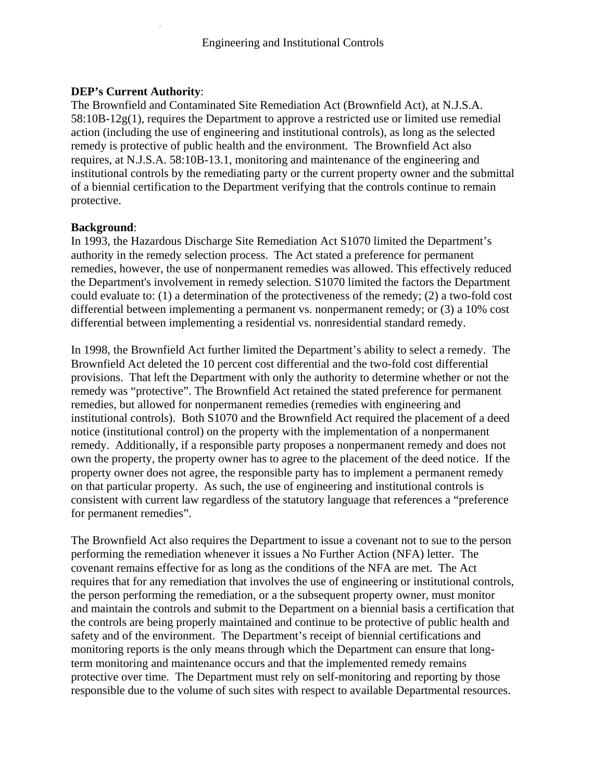# **DEP's Current Authority**:

The Brownfield and Contaminated Site Remediation Act (Brownfield Act), at N.J.S.A.  $58:10B-12g(1)$ , requires the Department to approve a restricted use or limited use remedial action (including the use of engineering and institutional controls), as long as the selected remedy is protective of public health and the environment. The Brownfield Act also requires, at N.J.S.A. 58:10B-13.1, monitoring and maintenance of the engineering and institutional controls by the remediating party or the current property owner and the submittal of a biennial certification to the Department verifying that the controls continue to remain protective.

# **Background**:

In 1993, the Hazardous Discharge Site Remediation Act S1070 limited the Department's authority in the remedy selection process. The Act stated a preference for permanent remedies, however, the use of nonpermanent remedies was allowed. This effectively reduced the Department's involvement in remedy selection. S1070 limited the factors the Department could evaluate to: (1) a determination of the protectiveness of the remedy; (2) a two-fold cost differential between implementing a permanent vs. nonpermanent remedy; or (3) a 10% cost differential between implementing a residential vs. nonresidential standard remedy.

In 1998, the Brownfield Act further limited the Department's ability to select a remedy. The Brownfield Act deleted the 10 percent cost differential and the two-fold cost differential provisions. That left the Department with only the authority to determine whether or not the remedy was "protective". The Brownfield Act retained the stated preference for permanent remedies, but allowed for nonpermanent remedies (remedies with engineering and institutional controls). Both S1070 and the Brownfield Act required the placement of a deed notice (institutional control) on the property with the implementation of a nonpermanent remedy. Additionally, if a responsible party proposes a nonpermanent remedy and does not own the property, the property owner has to agree to the placement of the deed notice. If the property owner does not agree, the responsible party has to implement a permanent remedy on that particular property. As such, the use of engineering and institutional controls is consistent with current law regardless of the statutory language that references a "preference for permanent remedies".

The Brownfield Act also requires the Department to issue a covenant not to sue to the person performing the remediation whenever it issues a No Further Action (NFA) letter. The covenant remains effective for as long as the conditions of the NFA are met. The Act requires that for any remediation that involves the use of engineering or institutional controls, the person performing the remediation, or a the subsequent property owner, must monitor and maintain the controls and submit to the Department on a biennial basis a certification that the controls are being properly maintained and continue to be protective of public health and safety and of the environment. The Department's receipt of biennial certifications and monitoring reports is the only means through which the Department can ensure that longterm monitoring and maintenance occurs and that the implemented remedy remains protective over time. The Department must rely on self-monitoring and reporting by those responsible due to the volume of such sites with respect to available Departmental resources.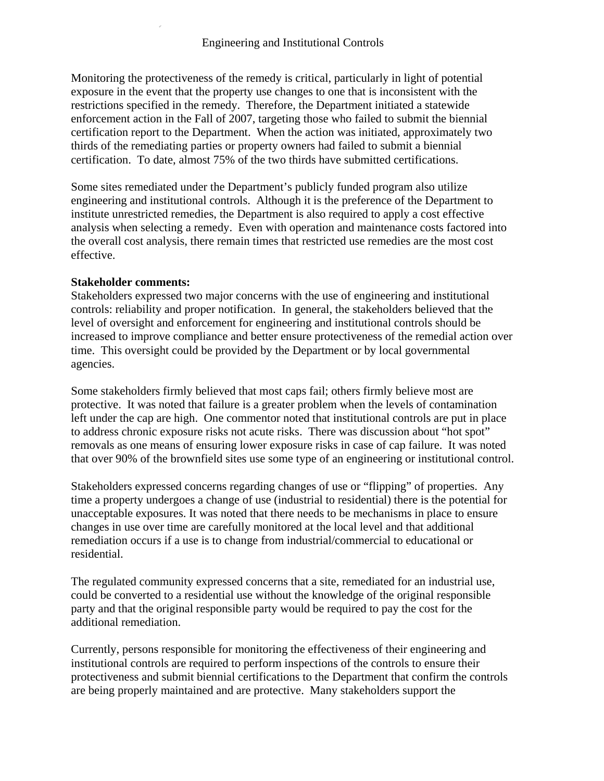Monitoring the protectiveness of the remedy is critical, particularly in light of potential exposure in the event that the property use changes to one that is inconsistent with the restrictions specified in the remedy. Therefore, the Department initiated a statewide enforcement action in the Fall of 2007, targeting those who failed to submit the biennial certification report to the Department. When the action was initiated, approximately two thirds of the remediating parties or property owners had failed to submit a biennial certification. To date, almost 75% of the two thirds have submitted certifications.

Some sites remediated under the Department's publicly funded program also utilize engineering and institutional controls. Although it is the preference of the Department to institute unrestricted remedies, the Department is also required to apply a cost effective analysis when selecting a remedy. Even with operation and maintenance costs factored into the overall cost analysis, there remain times that restricted use remedies are the most cost effective.

#### **Stakeholder comments:**

Stakeholders expressed two major concerns with the use of engineering and institutional controls: reliability and proper notification. In general, the stakeholders believed that the level of oversight and enforcement for engineering and institutional controls should be increased to improve compliance and better ensure protectiveness of the remedial action over time. This oversight could be provided by the Department or by local governmental agencies.

Some stakeholders firmly believed that most caps fail; others firmly believe most are protective. It was noted that failure is a greater problem when the levels of contamination left under the cap are high. One commentor noted that institutional controls are put in place to address chronic exposure risks not acute risks. There was discussion about "hot spot" removals as one means of ensuring lower exposure risks in case of cap failure. It was noted that over 90% of the brownfield sites use some type of an engineering or institutional control.

Stakeholders expressed concerns regarding changes of use or "flipping" of properties. Any time a property undergoes a change of use (industrial to residential) there is the potential for unacceptable exposures. It was noted that there needs to be mechanisms in place to ensure changes in use over time are carefully monitored at the local level and that additional remediation occurs if a use is to change from industrial/commercial to educational or residential.

The regulated community expressed concerns that a site, remediated for an industrial use, could be converted to a residential use without the knowledge of the original responsible party and that the original responsible party would be required to pay the cost for the additional remediation.

Currently, persons responsible for monitoring the effectiveness of their engineering and institutional controls are required to perform inspections of the controls to ensure their protectiveness and submit biennial certifications to the Department that confirm the controls are being properly maintained and are protective. Many stakeholders support the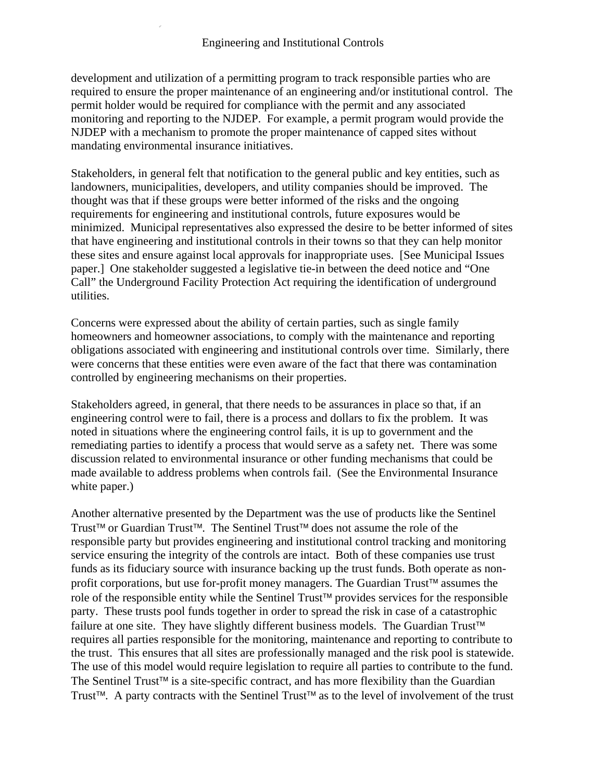development and utilization of a permitting program to track responsible parties who are required to ensure the proper maintenance of an engineering and/or institutional control. The permit holder would be required for compliance with the permit and any associated monitoring and reporting to the NJDEP. For example, a permit program would provide the NJDEP with a mechanism to promote the proper maintenance of capped sites without mandating environmental insurance initiatives.

Stakeholders, in general felt that notification to the general public and key entities, such as landowners, municipalities, developers, and utility companies should be improved. The thought was that if these groups were better informed of the risks and the ongoing requirements for engineering and institutional controls, future exposures would be minimized. Municipal representatives also expressed the desire to be better informed of sites that have engineering and institutional controls in their towns so that they can help monitor these sites and ensure against local approvals for inappropriate uses. [See Municipal Issues paper.] One stakeholder suggested a legislative tie-in between the deed notice and "One Call" the Underground Facility Protection Act requiring the identification of underground utilities.

Concerns were expressed about the ability of certain parties, such as single family homeowners and homeowner associations, to comply with the maintenance and reporting obligations associated with engineering and institutional controls over time. Similarly, there were concerns that these entities were even aware of the fact that there was contamination controlled by engineering mechanisms on their properties.

Stakeholders agreed, in general, that there needs to be assurances in place so that, if an engineering control were to fail, there is a process and dollars to fix the problem. It was noted in situations where the engineering control fails, it is up to government and the remediating parties to identify a process that would serve as a safety net. There was some discussion related to environmental insurance or other funding mechanisms that could be made available to address problems when controls fail. (See the Environmental Insurance white paper.)

Another alternative presented by the Department was the use of products like the Sentinel Trust™ or Guardian Trust™. The Sentinel Trust™ does not assume the role of the responsible party but provides engineering and institutional control tracking and monitoring service ensuring the integrity of the controls are intact. Both of these companies use trust funds as its fiduciary source with insurance backing up the trust funds. Both operate as nonprofit corporations, but use for-profit money managers. The Guardian Trust™ assumes the role of the responsible entity while the Sentinel Trust™ provides services for the responsible party. These trusts pool funds together in order to spread the risk in case of a catastrophic failure at one site. They have slightly different business models. The Guardian Trust™ requires all parties responsible for the monitoring, maintenance and reporting to contribute to the trust. This ensures that all sites are professionally managed and the risk pool is statewide. The use of this model would require legislation to require all parties to contribute to the fund. The Sentinel Trust™ is a site-specific contract, and has more flexibility than the Guardian Trust™. A party contracts with the Sentinel Trust™ as to the level of involvement of the trust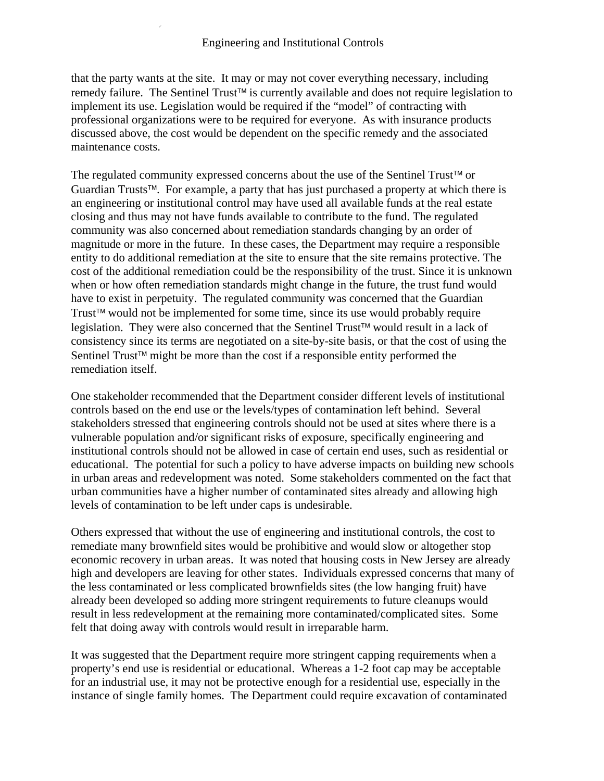that the party wants at the site. It may or may not cover everything necessary, including remedy failure. The Sentinel Trust™ is currently available and does not require legislation to implement its use. Legislation would be required if the "model" of contracting with professional organizations were to be required for everyone. As with insurance products discussed above, the cost would be dependent on the specific remedy and the associated maintenance costs.

The regulated community expressed concerns about the use of the Sentinel Trust™ or Guardian Trusts™. For example, a party that has just purchased a property at which there is an engineering or institutional control may have used all available funds at the real estate closing and thus may not have funds available to contribute to the fund. The regulated community was also concerned about remediation standards changing by an order of magnitude or more in the future. In these cases, the Department may require a responsible entity to do additional remediation at the site to ensure that the site remains protective. The cost of the additional remediation could be the responsibility of the trust. Since it is unknown when or how often remediation standards might change in the future, the trust fund would have to exist in perpetuity. The regulated community was concerned that the Guardian Trust™ would not be implemented for some time, since its use would probably require legislation. They were also concerned that the Sentinel Trust™ would result in a lack of consistency since its terms are negotiated on a site-by-site basis, or that the cost of using the Sentinel Trust™ might be more than the cost if a responsible entity performed the remediation itself.

One stakeholder recommended that the Department consider different levels of institutional controls based on the end use or the levels/types of contamination left behind. Several stakeholders stressed that engineering controls should not be used at sites where there is a vulnerable population and/or significant risks of exposure, specifically engineering and institutional controls should not be allowed in case of certain end uses, such as residential or educational. The potential for such a policy to have adverse impacts on building new schools in urban areas and redevelopment was noted. Some stakeholders commented on the fact that urban communities have a higher number of contaminated sites already and allowing high levels of contamination to be left under caps is undesirable.

Others expressed that without the use of engineering and institutional controls, the cost to remediate many brownfield sites would be prohibitive and would slow or altogether stop economic recovery in urban areas. It was noted that housing costs in New Jersey are already high and developers are leaving for other states. Individuals expressed concerns that many of the less contaminated or less complicated brownfields sites (the low hanging fruit) have already been developed so adding more stringent requirements to future cleanups would result in less redevelopment at the remaining more contaminated/complicated sites. Some felt that doing away with controls would result in irreparable harm.

It was suggested that the Department require more stringent capping requirements when a property's end use is residential or educational. Whereas a 1-2 foot cap may be acceptable for an industrial use, it may not be protective enough for a residential use, especially in the instance of single family homes. The Department could require excavation of contaminated